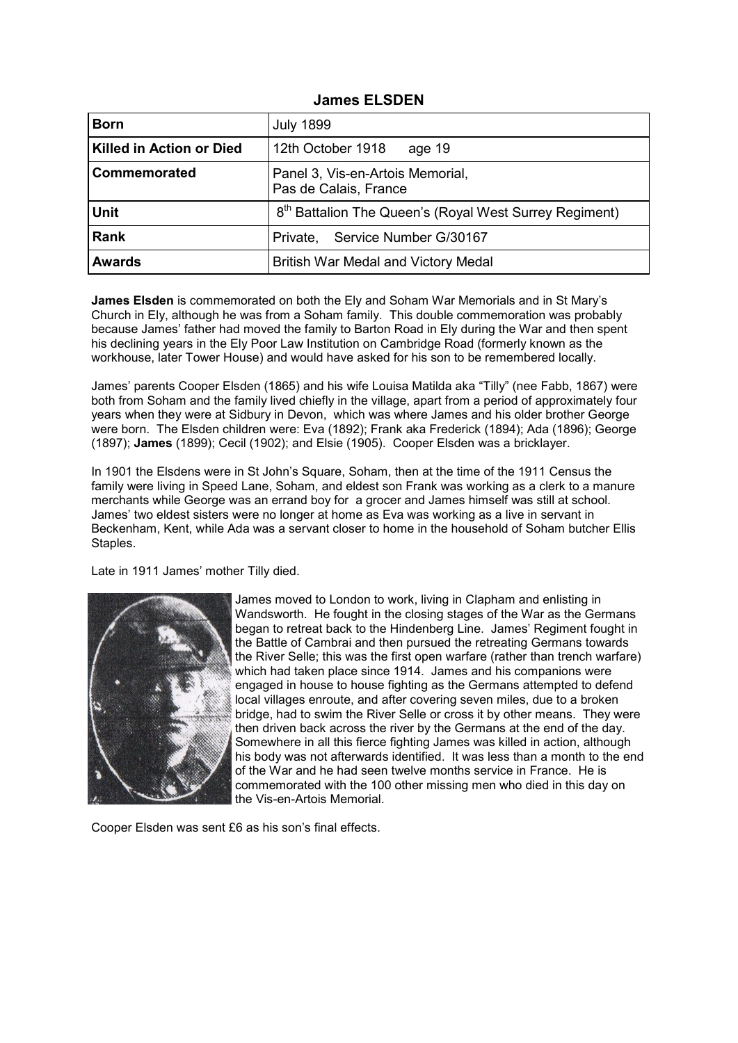| <b>James ELSDEN</b> |  |
|---------------------|--|
|---------------------|--|

| <b>Born</b>                     | <b>July 1899</b>                                                   |
|---------------------------------|--------------------------------------------------------------------|
| <b>Killed in Action or Died</b> | 12th October 1918<br>age 19                                        |
| Commemorated                    | Panel 3, Vis-en-Artois Memorial,<br>Pas de Calais, France          |
| <b>Unit</b>                     | 8 <sup>th</sup> Battalion The Queen's (Royal West Surrey Regiment) |
| <b>Rank</b>                     | Private, Service Number G/30167                                    |
| <b>Awards</b>                   | British War Medal and Victory Medal                                |

**James Elsden** is commemorated on both the Ely and Soham War Memorials and in St Mary's Church in Ely, although he was from a Soham family. This double commemoration was probably because James' father had moved the family to Barton Road in Ely during the War and then spent his declining years in the Ely Poor Law Institution on Cambridge Road (formerly known as the workhouse, later Tower House) and would have asked for his son to be remembered locally.

James' parents Cooper Elsden (1865) and his wife Louisa Matilda aka "Tilly" (nee Fabb, 1867) were both from Soham and the family lived chiefly in the village, apart from a period of approximately four years when they were at Sidbury in Devon, which was where James and his older brother George were born. The Elsden children were: Eva (1892); Frank aka Frederick (1894); Ada (1896); George (1897); **James** (1899); Cecil (1902); and Elsie (1905). Cooper Elsden was a bricklayer.

In 1901 the Elsdens were in St John's Square, Soham, then at the time of the 1911 Census the family were living in Speed Lane, Soham, and eldest son Frank was working as a clerk to a manure merchants while George was an errand boy for a grocer and James himself was still at school. James' two eldest sisters were no longer at home as Eva was working as a live in servant in Beckenham, Kent, while Ada was a servant closer to home in the household of Soham butcher Ellis Staples.

Late in 1911 James' mother Tilly died.



James moved to London to work, living in Clapham and enlisting in Wandsworth. He fought in the closing stages of the War as the Germans began to retreat back to the Hindenberg Line. James' Regiment fought in the Battle of Cambrai and then pursued the retreating Germans towards the River Selle; this was the first open warfare (rather than trench warfare) which had taken place since 1914. James and his companions were engaged in house to house fighting as the Germans attempted to defend local villages enroute, and after covering seven miles, due to a broken bridge, had to swim the River Selle or cross it by other means. They were then driven back across the river by the Germans at the end of the day. Somewhere in all this fierce fighting James was killed in action, although his body was not afterwards identified. It was less than a month to the end of the War and he had seen twelve months service in France. He is commemorated with the 100 other missing men who died in this day on the Vis-en-Artois Memorial.

Cooper Elsden was sent £6 as his son's final effects.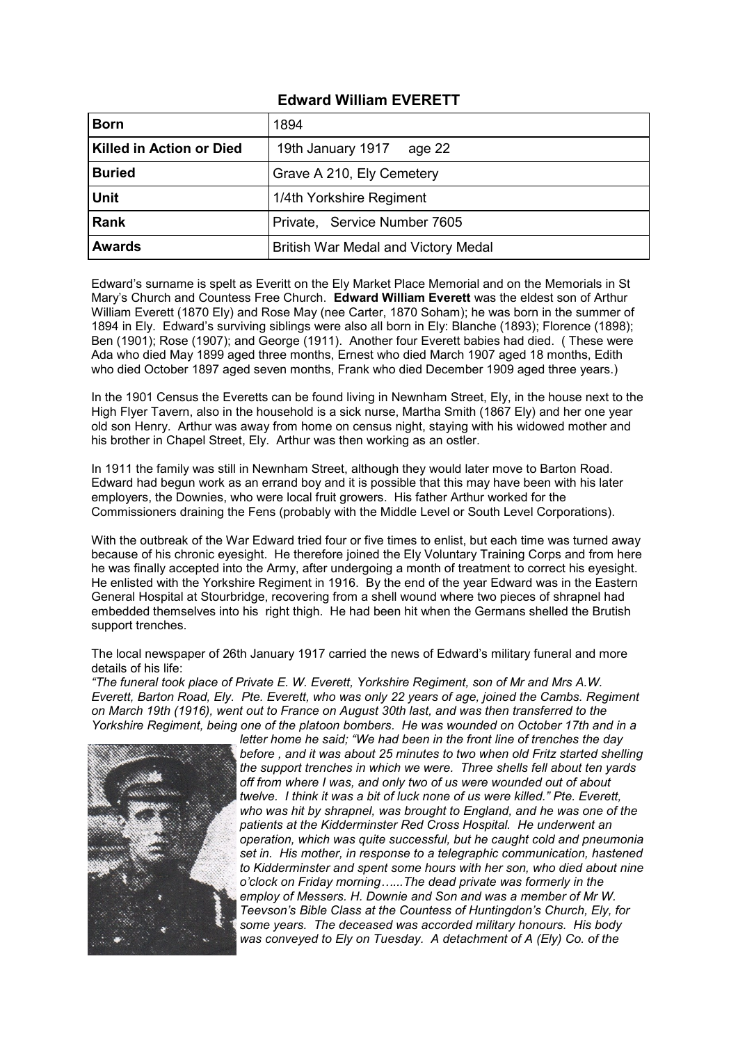## **Edward William EVERETT**

| <b>Born</b>                     | 1894                                |
|---------------------------------|-------------------------------------|
| <b>Killed in Action or Died</b> | 19th January 1917<br>age 22         |
| <b>Buried</b>                   | Grave A 210, Ely Cemetery           |
| <b>Unit</b>                     | 1/4th Yorkshire Regiment            |
| Rank                            | Private, Service Number 7605        |
| <b>Awards</b>                   | British War Medal and Victory Medal |

Edward's surname is spelt as Everitt on the Ely Market Place Memorial and on the Memorials in St Mary's Church and Countess Free Church. **Edward William Everett** was the eldest son of Arthur William Everett (1870 Ely) and Rose May (nee Carter, 1870 Soham); he was born in the summer of 1894 in Ely. Edward's surviving siblings were also all born in Ely: Blanche (1893); Florence (1898); Ben (1901); Rose (1907); and George (1911). Another four Everett babies had died. ( These were Ada who died May 1899 aged three months, Ernest who died March 1907 aged 18 months, Edith who died October 1897 aged seven months, Frank who died December 1909 aged three years.)

In the 1901 Census the Everetts can be found living in Newnham Street, Ely, in the house next to the High Flyer Tavern, also in the household is a sick nurse, Martha Smith (1867 Ely) and her one year old son Henry. Arthur was away from home on census night, staying with his widowed mother and his brother in Chapel Street, Ely. Arthur was then working as an ostler.

In 1911 the family was still in Newnham Street, although they would later move to Barton Road. Edward had begun work as an errand boy and it is possible that this may have been with his later employers, the Downies, who were local fruit growers. His father Arthur worked for the Commissioners draining the Fens (probably with the Middle Level or South Level Corporations).

With the outbreak of the War Edward tried four or five times to enlist, but each time was turned away because of his chronic eyesight. He therefore joined the Ely Voluntary Training Corps and from here he was finally accepted into the Army, after undergoing a month of treatment to correct his eyesight. He enlisted with the Yorkshire Regiment in 1916. By the end of the year Edward was in the Eastern General Hospital at Stourbridge, recovering from a shell wound where two pieces of shrapnel had embedded themselves into his right thigh. He had been hit when the Germans shelled the Brutish support trenches.

The local newspaper of 26th January 1917 carried the news of Edward's military funeral and more details of his life:

*"The funeral took place of Private E. W. Everett, Yorkshire Regiment, son of Mr and Mrs A.W. Everett, Barton Road, Ely. Pte. Everett, who was only 22 years of age, joined the Cambs. Regiment on March 19th (1916), went out to France on August 30th last, and was then transferred to the Yorkshire Regiment, being one of the platoon bombers. He was wounded on October 17th and in a* 



*letter home he said; "We had been in the front line of trenches the day before , and it was about 25 minutes to two when old Fritz started shelling the support trenches in which we were. Three shells fell about ten yards off from where I was, and only two of us were wounded out of about twelve. I think it was a bit of luck none of us were killed." Pte. Everett, who was hit by shrapnel, was brought to England, and he was one of the patients at the Kidderminster Red Cross Hospital. He underwent an operation, which was quite successful, but he caught cold and pneumonia set in. His mother, in response to a telegraphic communication, hastened to Kidderminster and spent some hours with her son, who died about nine o'clock on Friday morning…...The dead private was formerly in the employ of Messers. H. Downie and Son and was a member of Mr W. Teevson's Bible Class at the Countess of Huntingdon's Church, Ely, for some years. The deceased was accorded military honours. His body was conveyed to Ely on Tuesday. A detachment of A (Ely) Co. of the*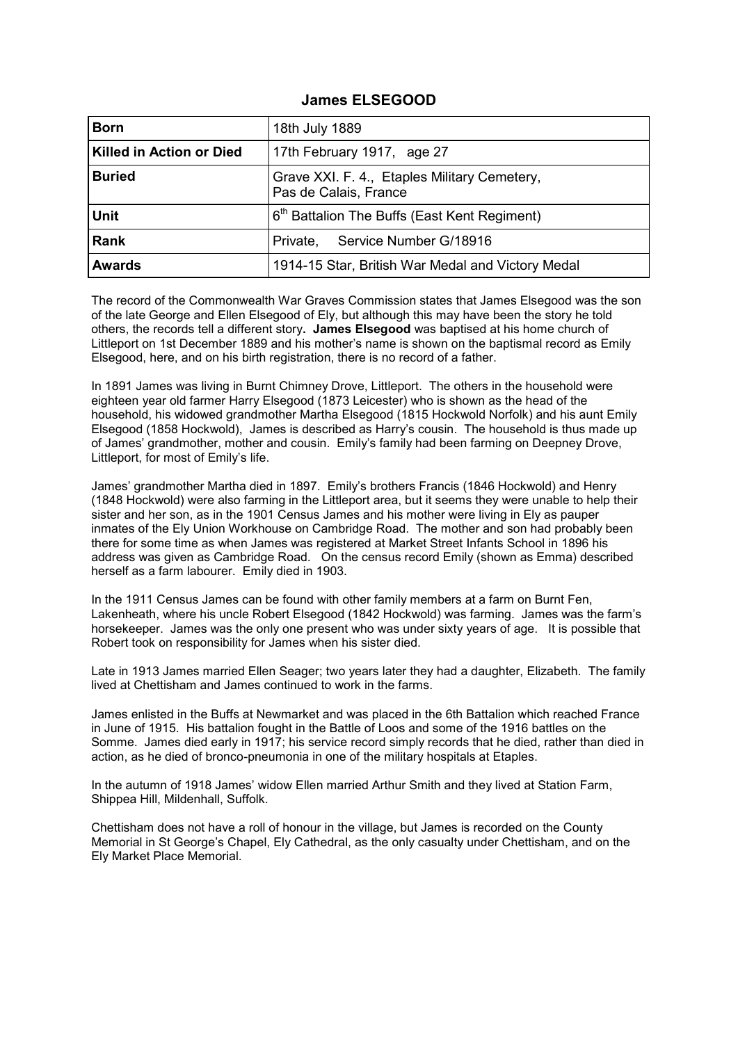## **James ELSEGOOD**

| <b>Born</b>                     | 18th July 1889                                                        |
|---------------------------------|-----------------------------------------------------------------------|
| <b>Killed in Action or Died</b> | 17th February 1917, age 27                                            |
| <b>Buried</b>                   | Grave XXI. F. 4., Etaples Military Cemetery,<br>Pas de Calais, France |
| <b>Unit</b>                     | 6 <sup>th</sup> Battalion The Buffs (East Kent Regiment)              |
| <b>Rank</b>                     | Private, Service Number G/18916                                       |
| <b>Awards</b>                   | 1914-15 Star, British War Medal and Victory Medal                     |

The record of the Commonwealth War Graves Commission states that James Elsegood was the son of the late George and Ellen Elsegood of Ely, but although this may have been the story he told others, the records tell a different story**. James Elsegood** was baptised at his home church of Littleport on 1st December 1889 and his mother's name is shown on the baptismal record as Emily Elsegood, here, and on his birth registration, there is no record of a father.

In 1891 James was living in Burnt Chimney Drove, Littleport. The others in the household were eighteen year old farmer Harry Elsegood (1873 Leicester) who is shown as the head of the household, his widowed grandmother Martha Elsegood (1815 Hockwold Norfolk) and his aunt Emily Elsegood (1858 Hockwold), James is described as Harry's cousin. The household is thus made up of James' grandmother, mother and cousin. Emily's family had been farming on Deepney Drove, Littleport, for most of Emily's life.

James' grandmother Martha died in 1897. Emily's brothers Francis (1846 Hockwold) and Henry (1848 Hockwold) were also farming in the Littleport area, but it seems they were unable to help their sister and her son, as in the 1901 Census James and his mother were living in Ely as pauper inmates of the Ely Union Workhouse on Cambridge Road. The mother and son had probably been there for some time as when James was registered at Market Street Infants School in 1896 his address was given as Cambridge Road. On the census record Emily (shown as Emma) described herself as a farm labourer. Emily died in 1903.

In the 1911 Census James can be found with other family members at a farm on Burnt Fen, Lakenheath, where his uncle Robert Elsegood (1842 Hockwold) was farming. James was the farm's horsekeeper. James was the only one present who was under sixty years of age. It is possible that Robert took on responsibility for James when his sister died.

Late in 1913 James married Ellen Seager; two years later they had a daughter, Elizabeth. The family lived at Chettisham and James continued to work in the farms.

James enlisted in the Buffs at Newmarket and was placed in the 6th Battalion which reached France in June of 1915. His battalion fought in the Battle of Loos and some of the 1916 battles on the Somme. James died early in 1917; his service record simply records that he died, rather than died in action, as he died of bronco-pneumonia in one of the military hospitals at Etaples.

In the autumn of 1918 James' widow Ellen married Arthur Smith and they lived at Station Farm, Shippea Hill, Mildenhall, Suffolk.

Chettisham does not have a roll of honour in the village, but James is recorded on the County Memorial in St George's Chapel, Ely Cathedral, as the only casualty under Chettisham, and on the Ely Market Place Memorial.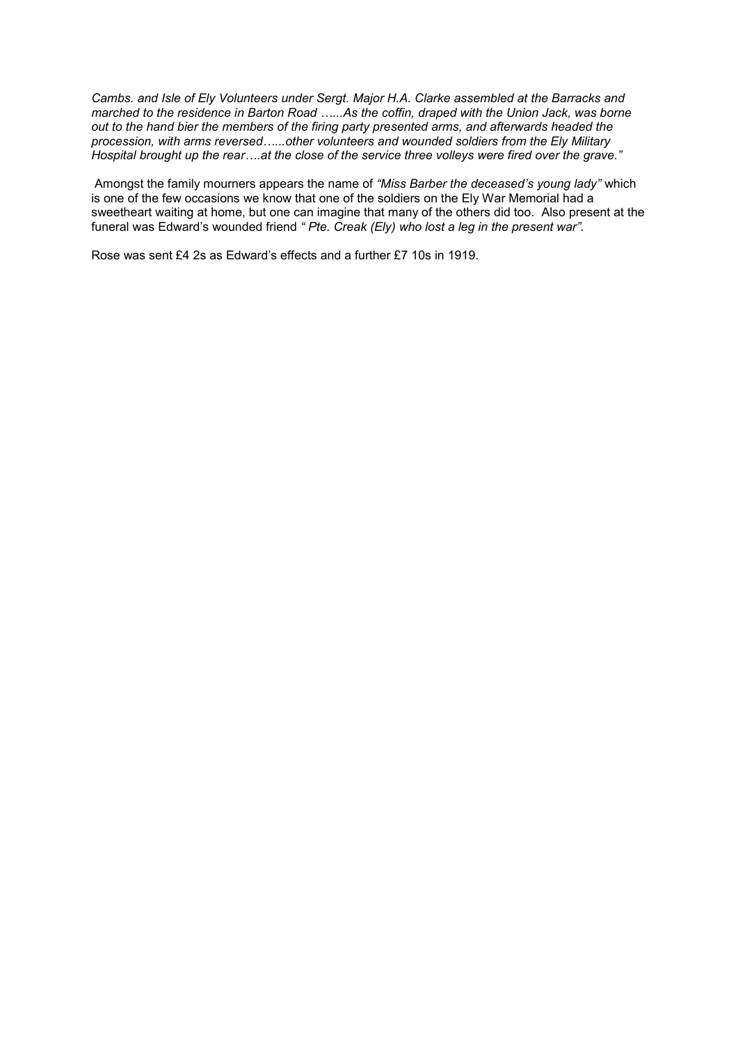*Cambs. and Isle of Ely Volunteers under Sergt. Major H.A. Clarke assembled at the Barracks and marched to the residence in Barton Road …...As the coffin, draped with the Union Jack, was borne out to the hand bier the members of the firing party presented arms, and afterwards headed the procession, with arms reversed…...other volunteers and wounded soldiers from the Ely Military Hospital brought up the rear….at the close of the service three volleys were fired over the grave."* 

Amongst the family mourners appears the name of *"Miss Barber the deceased's young lady"* which is one of the few occasions we know that one of the soldiers on the Ely War Memorial had a sweetheart waiting at home, but one can imagine that many of the others did too. Also present at the funeral was Edward's wounded friend *" Pte. Creak (Ely) who lost a leg in the present war".*

Rose was sent £4 2s as Edward's effects and a further £7 10s in 1919.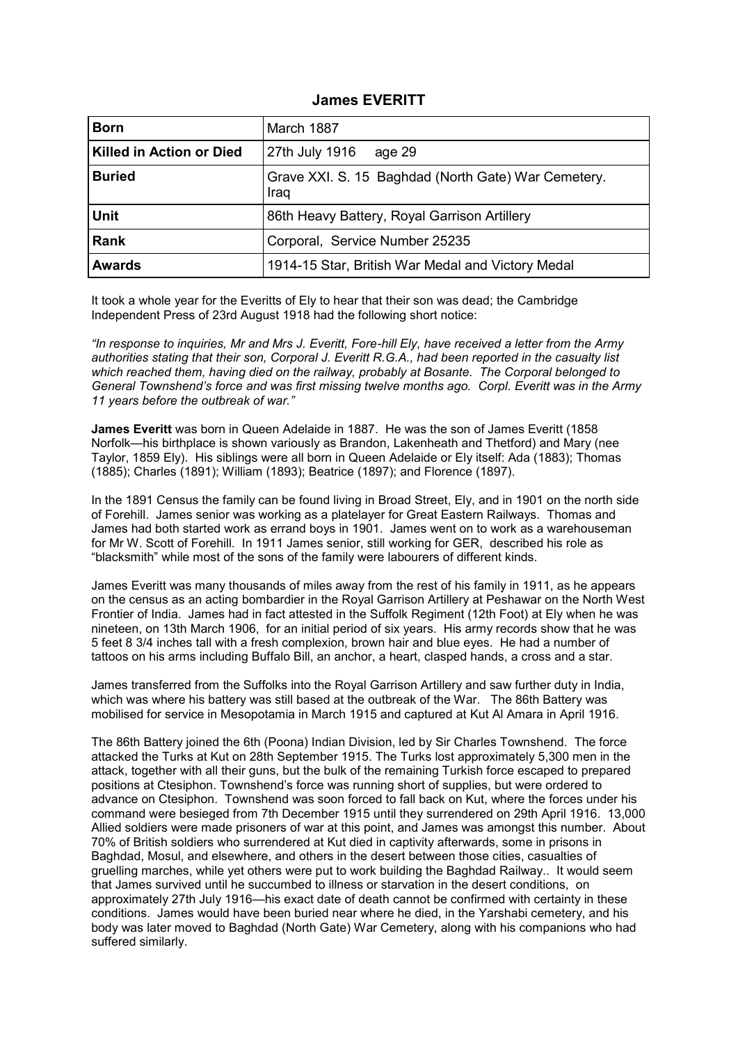## **James EVERITT**

| <b>Born</b>                     | March 1887                                                  |
|---------------------------------|-------------------------------------------------------------|
| <b>Killed in Action or Died</b> | 27th July 1916<br>age 29                                    |
| <b>Buried</b>                   | Grave XXI. S. 15 Baghdad (North Gate) War Cemetery.<br>Iraq |
| <b>Unit</b>                     | 86th Heavy Battery, Royal Garrison Artillery                |
| <b>Rank</b>                     | Corporal, Service Number 25235                              |
| <b>Awards</b>                   | 1914-15 Star, British War Medal and Victory Medal           |

It took a whole year for the Everitts of Ely to hear that their son was dead; the Cambridge Independent Press of 23rd August 1918 had the following short notice:

*"In response to inquiries, Mr and Mrs J. Everitt, Fore-hill Ely, have received a letter from the Army authorities stating that their son, Corporal J. Everitt R.G.A., had been reported in the casualty list which reached them, having died on the railway, probably at Bosante. The Corporal belonged to General Townshend's force and was first missing twelve months ago. Corpl. Everitt was in the Army 11 years before the outbreak of war."* 

**James Everitt** was born in Queen Adelaide in 1887. He was the son of James Everitt (1858 Norfolk—his birthplace is shown variously as Brandon, Lakenheath and Thetford) and Mary (nee Taylor, 1859 Ely). His siblings were all born in Queen Adelaide or Ely itself: Ada (1883); Thomas (1885); Charles (1891); William (1893); Beatrice (1897); and Florence (1897).

In the 1891 Census the family can be found living in Broad Street, Ely, and in 1901 on the north side of Forehill. James senior was working as a platelayer for Great Eastern Railways. Thomas and James had both started work as errand boys in 1901. James went on to work as a warehouseman for Mr W. Scott of Forehill. In 1911 James senior, still working for GER, described his role as "blacksmith" while most of the sons of the family were labourers of different kinds.

James Everitt was many thousands of miles away from the rest of his family in 1911, as he appears on the census as an acting bombardier in the Royal Garrison Artillery at Peshawar on the North West Frontier of India. James had in fact attested in the Suffolk Regiment (12th Foot) at Ely when he was nineteen, on 13th March 1906, for an initial period of six years. His army records show that he was 5 feet 8 3/4 inches tall with a fresh complexion, brown hair and blue eyes. He had a number of tattoos on his arms including Buffalo Bill, an anchor, a heart, clasped hands, a cross and a star.

James transferred from the Suffolks into the Royal Garrison Artillery and saw further duty in India, which was where his battery was still based at the outbreak of the War. The 86th Battery was mobilised for service in Mesopotamia in March 1915 and captured at Kut Al Amara in April 1916.

The 86th Battery joined the 6th (Poona) Indian Division, led by Sir Charles Townshend. The force attacked the Turks at Kut on 28th September 1915. The Turks lost approximately 5,300 men in the attack, together with all their guns, but the bulk of the remaining Turkish force escaped to prepared positions at Ctesiphon. Townshend's force was running short of supplies, but were ordered to advance on Ctesiphon. Townshend was soon forced to fall back on Kut, where the forces under his command were besieged from 7th December 1915 until they surrendered on 29th April 1916. 13,000 Allied soldiers were made prisoners of war at this point, and James was amongst this number. About 70% of British soldiers who surrendered at Kut died in captivity afterwards, some in prisons in Baghdad, Mosul, and elsewhere, and others in the desert between those cities, casualties of gruelling marches, while yet others were put to work building the Baghdad Railway.. It would seem that James survived until he succumbed to illness or starvation in the desert conditions, on approximately 27th July 1916—his exact date of death cannot be confirmed with certainty in these conditions. James would have been buried near where he died, in the Yarshabi cemetery, and his body was later moved to Baghdad (North Gate) War Cemetery, along with his companions who had suffered similarly.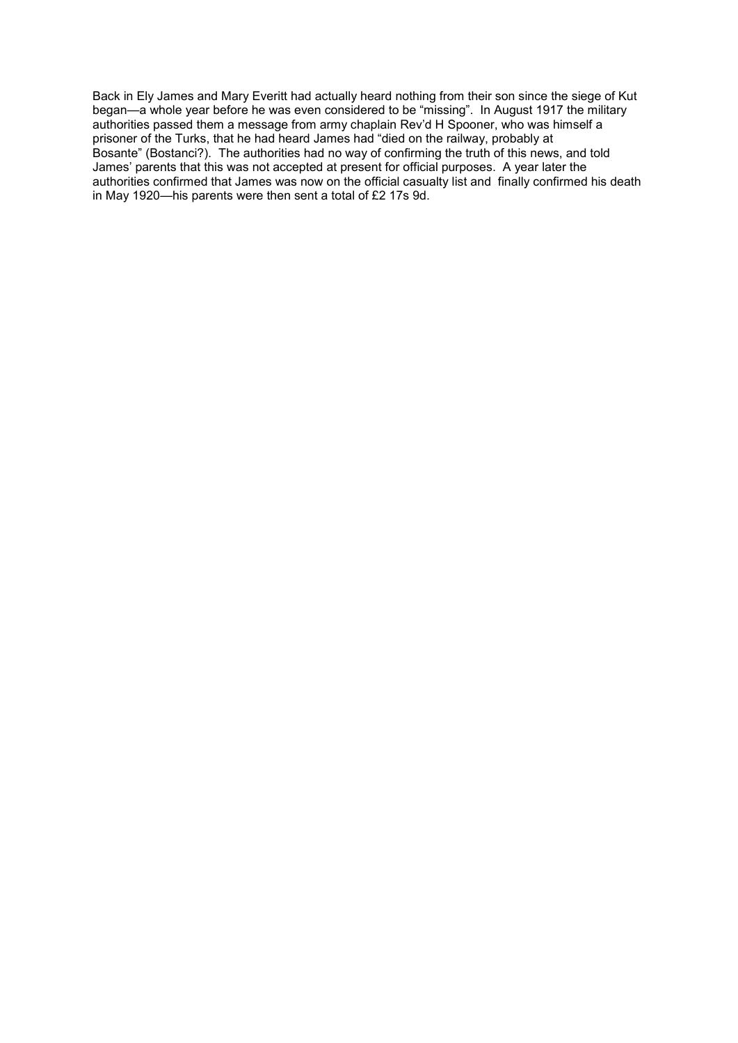Back in Ely James and Mary Everitt had actually heard nothing from their son since the siege of Kut began—a whole year before he was even considered to be "missing". In August 1917 the military authorities passed them a message from army chaplain Rev'd H Spooner, who was himself a prisoner of the Turks, that he had heard James had "died on the railway, probably at Bosante" (Bostanci?). The authorities had no way of confirming the truth of this news, and told James' parents that this was not accepted at present for official purposes. A year later the authorities confirmed that James was now on the official casualty list and finally confirmed his death in May 1920—his parents were then sent a total of £2 17s 9d.